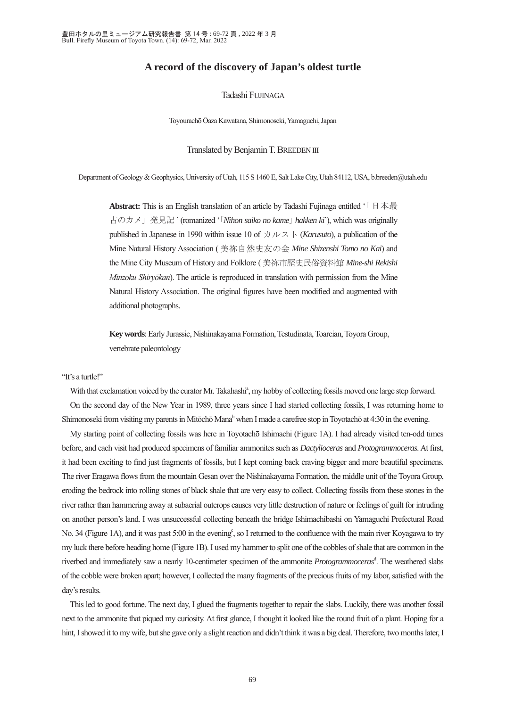# **A record of the discovery of Japan's oldest turtle**

## Tadashi FUJINAGA

Toyourachō Ōaza Kawatana, Shimonoseki, Yamaguchi, Japan

#### Translated by Benjamin T. BREEDEN III

Department of Geology & Geophysics, University of Utah, 115 S 1460 E, Salt Lake City, Utah 84112, USA, b.breeden@utah.edu

**Abstract:** This is an English translation of an article by Tadashi Fujinaga entitled '「日本最 古のカメ」発見記 ' (romanized '「*Nihon saiko no kame*」 *hakken ki*'), which was originally published in Japanese in 1990 within issue 10 of  $\pi \sim \pi$  (*Karusuto*), a publication of the Mine Natural History Association ( 美祢自然史友の会 *Mine Shizenshi Tomo no Kai*) and the Mine City Museum of History and Folklore ( 美祢市歴史民俗資料館 *Mine-shi Rekishi Minzoku Shiryōkan*). The article is reproduced in translation with permission from the Mine Natural History Association. The original figures have been modified and augmented with additional photographs.

**Key words**: Early Jurassic, Nishinakayama Formation, Testudinata, Toarcian, Toyora Group, vertebrate paleontology

"It's a turtle!"

With that exclamation voiced by the curator Mr. Takahashi<sup>a</sup>, my hobby of collecting fossils moved one large step forward. On the second day of the New Year in 1989, three years since I had started collecting fossils, I was returning home to Shimonoseki from visiting my parents in Mitōchō Mana<sup>b</sup> when I made a carefree stop in Toyotachō at 4:30 in the evening.

My starting point of collecting fossils was here in Toyotachō Ishimachi (Figure 1A). I had already visited ten-odd times before, and each visit had produced specimens of familiar ammonites such as *Dactylioceras* and *Protogrammoceras*. At first, it had been exciting to find just fragments of fossils, but I kept coming back craving bigger and more beautiful specimens. The river Eragawa flows from the mountain Gesan over the Nishinakayama Formation, the middle unit of the Toyora Group, eroding the bedrock into rolling stones of black shale that are very easy to collect. Collecting fossils from these stones in the river rather than hammering away at subaerial outcrops causes very little destruction of nature or feelings of guilt for intruding on another person's land. I was unsuccessful collecting beneath the bridge Ishimachibashi on Yamaguchi Prefectural Road No. 34 (Figure 1A), and it was past 5:00 in the evening<sup>e</sup>, so I returned to the confluence with the main river Koyagawa to try my luck there before heading home (Figure 1B). I used my hammer to split one of the cobbles of shale that are common in the riverbed and immediately saw a nearly 10-centimeter specimen of the ammonite *Protogrammoceras*<sup>d</sup> . The weathered slabs of the cobble were broken apart; however, I collected the many fragments of the precious fruits of my labor, satisfied with the day's results.

This led to good fortune. The next day, I glued the fragments together to repair the slabs. Luckily, there was another fossil next to the ammonite that piqued my curiosity. At first glance, I thought it looked like the round fruit of a plant. Hoping for a hint, I showed it to my wife, but she gave only a slight reaction and didn't think it was a big deal. Therefore, two months later, I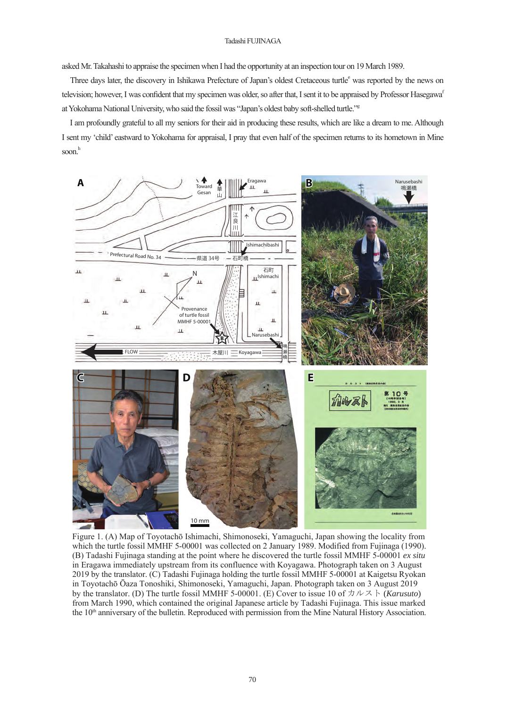### Tadashi FUJINAGA

asked Mr. Takahashi to appraise the specimen when I had the opportunity at an inspection tour on 19 March 1989.

Three days later, the discovery in Ishikawa Prefecture of Japan's oldest Cretaceous turtle<sup>e</sup> was reported by the news on television; however, I was confident that my specimen was older, so after that, I sent it to be appraised by Professor Hasegawa<sup>f</sup> at Yokohama National University, who said the fossil was "Japan's oldest baby soft-shelled turtle."<sup>g</sup>

I am profoundly grateful to all my seniors for their aid in producing these results, which are like a dream to me. Although I sent my 'child' eastward to Yokohama for appraisal, I pray that even half of the specimen returns to its hometown in Mine soon.h



Figure 1. (A) Map of Toyotachō Ishimachi, Shimonoseki, Yamaguchi, Japan showing the locality from which the turtle fossil MMHF 5-00001 was collected on 2 January 1989. Modified from Fujinaga (1990). (B) Tadashi Fujinaga standing at the point where he discovered the turtle fossil MMHF 5-00001 *ex situ* in Eragawa immediately upstream from its confluence with Koyagawa. Photograph taken on 3 August 2019 by the translator. (C) Tadashi Fujinaga holding the turtle fossil MMHF 5-00001 at Kaigetsu Ryokan in Toyotachō Ōaza Tonoshiki, Shimonoseki, Yamaguchi, Japan. Photograph taken on 3 August 2019 by the translator. (D) The turtle fossil MMHF 5-00001. (E) Cover to issue 10 of  $\forall \nu \ge \mathbb{R}$  (*Karusuto*) from March 1990, which contained the original Japanese article by Tadashi Fujinaga. This issue marked the  $10<sup>th</sup>$  anniversary of the bulletin. Reproduced with permission from the Mine Natural History Association.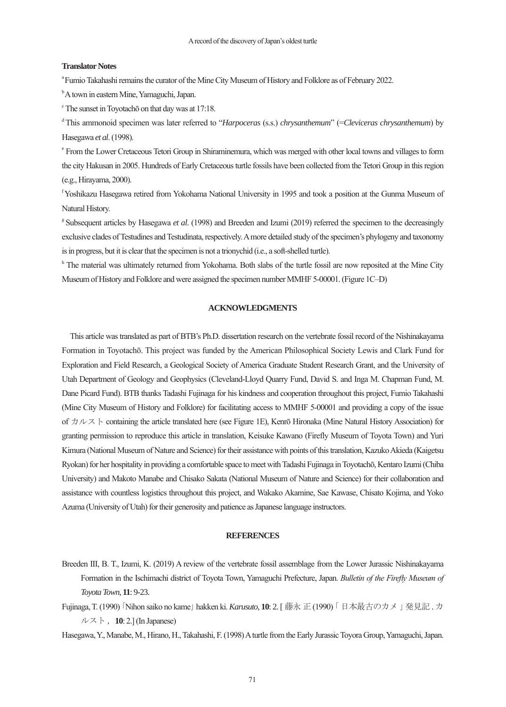### **Translator Notes**

<sup>a</sup> Fumio Takahashi remains the curator of the Mine City Museum of History and Folklore as of February 2022.

<sup>b</sup> A town in eastern Mine, Yamaguchi, Japan.

<sup>c</sup> The sunset in Toyotachō on that day was at 17:18.

d This ammonoid specimen was later referred to "*Harpoceras* (s.s.) *chrysanthemum*" (=*Cleviceras chrysanthemum*) by Hasegawa *et al*. (1998).

e From the Lower Cretaceous Tetori Group in Shiraminemura, which was merged with other local towns and villages to form the city Hakusan in 2005. Hundreds of Early Cretaceous turtle fossils have been collected from the Tetori Group in this region (e.g., Hirayama, 2000).

f Yoshikazu Hasegawa retired from Yokohama National University in 1995 and took a position at the Gunma Museum of Natural History.

<sup>g</sup> Subsequent articles by Hasegawa *et al.* (1998) and Breeden and Izumi (2019) referred the specimen to the decreasingly exclusive clades of Testudines and Testudinata, respectively. A more detailed study of the specimen's phylogeny and taxonomy is in progress, but it is clear that the specimen is not a trionychid (i.e., a soft-shelled turtle).

<sup>h</sup> The material was ultimately returned from Yokohama. Both slabs of the turtle fossil are now reposited at the Mine City Museum of History and Folklore and were assigned the specimen number MMHF 5-00001. (Figure 1C–D)

## **ACKNOWLEDGMENTS**

This article was translated as part of BTB's Ph.D. dissertation research on the vertebrate fossil record of the Nishinakayama Formation in Toyotachō. This project was funded by the American Philosophical Society Lewis and Clark Fund for Exploration and Field Research, a Geological Society of America Graduate Student Research Grant, and the University of Utah Department of Geology and Geophysics (Cleveland-Lloyd Quarry Fund, David S. and Inga M. Chapman Fund, M. Dane Picard Fund). BTB thanks Tadashi Fujinaga for his kindness and cooperation throughout this project, Fumio Takahashi (Mine City Museum of History and Folklore) for facilitating access to MMHF 5-00001 and providing a copy of the issue of  $\pi \nu$   $\vee$   $\wedge$   $\sim$  containing the article translated here (see Figure 1E), Kenrō Hironaka (Mine Natural History Association) for granting permission to reproduce this article in translation, Keisuke Kawano (Firefly Museum of Toyota Town) and Yuri Kimura (National Museum of Nature and Science) for their assistance with points of this translation, Kazuko Akieda (Kaigetsu Ryokan) for her hospitality in providing a comfortable space to meet with Tadashi Fujinaga in Toyotachō, Kentaro Izumi (Chiba University) and Makoto Manabe and Chisako Sakata (National Museum of Nature and Science) for their collaboration and assistance with countless logistics throughout this project, and Wakako Akamine, Sae Kawase, Chisato Kojima, and Yoko Azuma (University of Utah) for their generosity and patience as Japanese language instructors.

## **REFERENCES**

- Breeden III, B. T., Izumi, K. (2019) A review of the vertebrate fossil assemblage from the Lower Jurassic Nishinakayama Formation in the Ischimachi district of Toyota Town, Yamaguchi Prefecture, Japan. *Bulletin of the Firefly Museum of Toyota Town*, **11**: 9-23.
- Fujinaga, T. (1990) 「Nihon saiko no kame」 hakken ki. *Karusuto*, **10**: 2. [ 藤永正 (1990) 「 日本最古のカメ 」発見記 . カ ルスト , **10**: 2.] (In Japanese)

Hasegawa, Y., Manabe, M., Hirano, H., Takahashi, F. (1998) A turtle from the Early Jurassic Toyora Group, Yamaguchi, Japan.